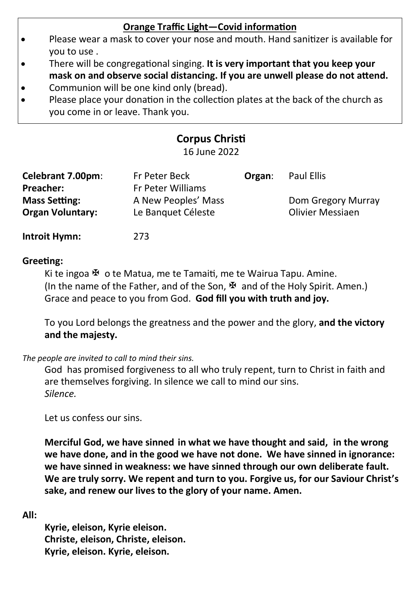# **Orange Traffic Light—Covid information**

- Please wear a mask to cover your nose and mouth. Hand sanitizer is available for you to use .
- There will be congregational singing. **It is very important that you keep your mask on and observe social distancing. If you are unwell please do not attend.**
- Communion will be one kind only (bread).
- Please place your donation in the collection plates at the back of the church as you come in or leave. Thank you.

# **Corpus Christi**

16 June 2022

| Celebrant 7.00pm:       | Fr Peter Beck       | Organ: | Paul Ellis         |
|-------------------------|---------------------|--------|--------------------|
| Preacher:               | Fr Peter Williams   |        |                    |
| <b>Mass Setting:</b>    | A New Peoples' Mass |        | Dom Gregory Murray |
| <b>Organ Voluntary:</b> | Le Banguet Céleste  |        | Olivier Messiaen   |

**Introit Hymn:** 273

# **Greeting:**

Ki te ingoa  $\mathbb F$  o te Matua, me te Tamaiti, me te Wairua Tapu. Amine. (In the name of the Father, and of the Son,  $\mathbb F$  and of the Holy Spirit. Amen.) Grace and peace to you from God. **God fill you with truth and joy.**

To you Lord belongs the greatness and the power and the glory, **and the victory and the majesty.**

*The people are invited to call to mind their sins.*

God has promised forgiveness to all who truly repent, turn to Christ in faith and are themselves forgiving. In silence we call to mind our sins. *Silence.*

Let us confess our sins.

**Merciful God, we have sinned in what we have thought and said, in the wrong we have done, and in the good we have not done. We have sinned in ignorance: we have sinned in weakness: we have sinned through our own deliberate fault. We are truly sorry. We repent and turn to you. Forgive us, for our Saviour Christ's sake, and renew our lives to the glory of your name. Amen.**

**All:**

**Kyrie, eleison, Kyrie eleison. Christe, eleison, Christe, eleison. Kyrie, eleison. Kyrie, eleison.**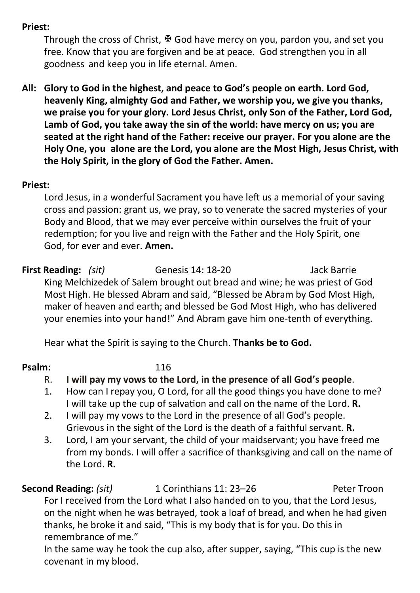# **Priest:**

Through the cross of Christ,  $\mathbb F$  God have mercy on you, pardon you, and set you free. Know that you are forgiven and be at peace. God strengthen you in all goodness and keep you in life eternal. Amen.

**All: Glory to God in the highest, and peace to God's people on earth. Lord God, heavenly King, almighty God and Father, we worship you, we give you thanks, we praise you for your glory. Lord Jesus Christ, only Son of the Father, Lord God, Lamb of God, you take away the sin of the world: have mercy on us; you are seated at the right hand of the Father: receive our prayer. For you alone are the Holy One, you alone are the Lord, you alone are the Most High, Jesus Christ, with the Holy Spirit, in the glory of God the Father. Amen.**

# **Priest:**

Lord Jesus, in a wonderful Sacrament you have left us a memorial of your saving cross and passion: grant us, we pray, so to venerate the sacred mysteries of your Body and Blood, that we may ever perceive within ourselves the fruit of your redemption; for you live and reign with the Father and the Holy Spirit, one God, for ever and ever. **Amen.**

**First Reading:** *(sit)* Genesis 14: 18-20 Jack Barrie King Melchizedek of Salem brought out bread and wine; he was priest of God Most High. He blessed Abram and said, "Blessed be Abram by God Most High, maker of heaven and earth; and blessed be God Most High, who has delivered your enemies into your hand!" And Abram gave him one-tenth of everything.

Hear what the Spirit is saying to the Church. **Thanks be to God.**

# **Psalm:** 116

- R. **I will pay my vows to the Lord, in the presence of all God's people**.
- 1. How can I repay you, O Lord, for all the good things you have done to me? I will take up the cup of salvation and call on the name of the Lord. **R.**
- 2. I will pay my vows to the Lord in the presence of all God's people. Grievous in the sight of the Lord is the death of a faithful servant. **R.**
- 3. Lord, I am your servant, the child of your maidservant; you have freed me from my bonds. I will offer a sacrifice of thanksgiving and call on the name of the Lord. **R.**

**Second Reading: (sit)** 1 Corinthians 11: 23–26 Peter Troon For I received from the Lord what I also handed on to you, that the Lord Jesus, on the night when he was betrayed, took a loaf of bread, and when he had given thanks, he broke it and said, "This is my body that is for you. Do this in remembrance of me."

In the same way he took the cup also, after supper, saying, "This cup is the new covenant in my blood.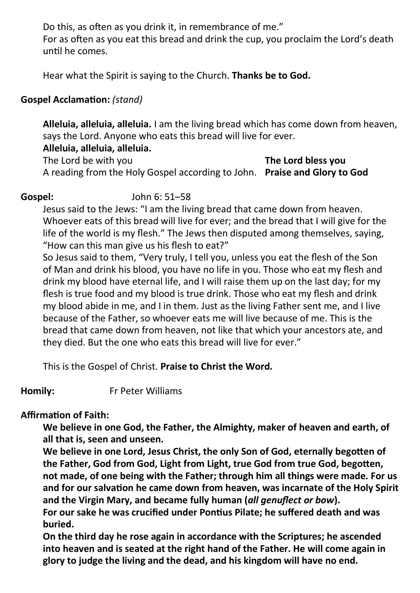Do this, as often as you drink it, in remembrance of me."

For as often as you eat this bread and drink the cup, you proclaim the Lord's death until he comes.

Hear what the Spirit is saying to the Church. **Thanks be to God.**

# **Gospel Acclamation:** *(stand)*

**Alleluia, alleluia, alleluia.** I am the living bread which has come down from heaven, says the Lord. Anyone who eats this bread will live for ever.

**Alleluia, alleluia, alleluia.** 

The Lord be with you **The Lord bless you**  A reading from the Holy Gospel according to John. **Praise and Glory to God** 

**Gospel:** John 6: 51–58

Jesus said to the Jews: "I am the living bread that came down from heaven. Whoever eats of this bread will live for ever; and the bread that I will give for the life of the world is my flesh." The Jews then disputed among themselves, saying, "How can this man give us his flesh to eat?"

So Jesus said to them, "Very truly, I tell you, unless you eat the flesh of the Son of Man and drink his blood, you have no life in you. Those who eat my flesh and drink my blood have eternal life, and I will raise them up on the last day; for my flesh is true food and my blood is true drink. Those who eat my flesh and drink my blood abide in me, and I in them. Just as the living Father sent me, and I live because of the Father, so whoever eats me will live because of me. This is the bread that came down from heaven, not like that which your ancestors ate, and they died. But the one who eats this bread will live for ever."

This is the Gospel of Christ. **Praise to Christ the Word.**

**Homily:** Fr Peter Williams

# **Affirmation of Faith:**

**We believe in one God, the Father, the Almighty, maker of heaven and earth, of all that is, seen and unseen.**

**We believe in one Lord, Jesus Christ, the only Son of God, eternally begotten of the Father, God from God, Light from Light, true God from true God, begotten, not made, of one being with the Father; through him all things were made. For us and for our salvation he came down from heaven, was incarnate of the Holy Spirit and the Virgin Mary, and became fully human (***all genuflect or bow***).** 

**For our sake he was crucified under Pontius Pilate; he suffered death and was buried.** 

**On the third day he rose again in accordance with the Scriptures; he ascended into heaven and is seated at the right hand of the Father. He will come again in glory to judge the living and the dead, and his kingdom will have no end.**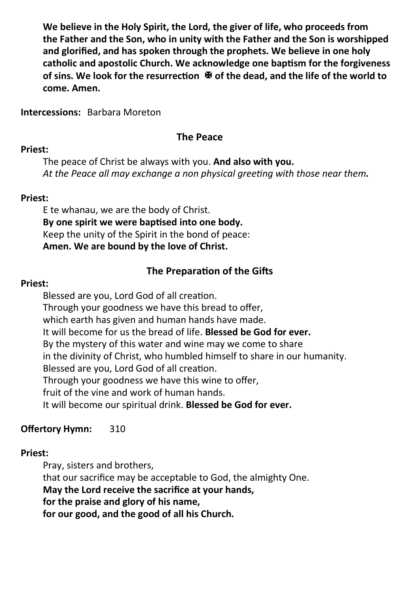**We believe in the Holy Spirit, the Lord, the giver of life, who proceeds from the Father and the Son, who in unity with the Father and the Son is worshipped and glorified, and has spoken through the prophets. We believe in one holy catholic and apostolic Church. We acknowledge one baptism for the forgiveness of sins. We look for the resurrection**   $\Phi$  **of the dead, and the life of the world to come. Amen.**

**Intercessions:** Barbara Moreton

# **The Peace**

# **Priest:**

The peace of Christ be always with you. **And also with you.** *At the Peace all may exchange a non physical greeting with those near them.*

# **Priest:**

E te whanau, we are the body of Christ. **By one spirit we were baptised into one body.** Keep the unity of the Spirit in the bond of peace: **Amen. We are bound by the love of Christ.**

# **The Preparation of the Gifts**

# **Priest:**

Blessed are you, Lord God of all creation. Through your goodness we have this bread to offer, which earth has given and human hands have made. It will become for us the bread of life. **Blessed be God for ever.** By the mystery of this water and wine may we come to share in the divinity of Christ, who humbled himself to share in our humanity. Blessed are you, Lord God of all creation. Through your goodness we have this wine to offer, fruit of the vine and work of human hands. It will become our spiritual drink. **Blessed be God for ever.**

# **Offertory Hymn:** 310

# **Priest:**

Pray, sisters and brothers, that our sacrifice may be acceptable to God, the almighty One. **May the Lord receive the sacrifice at your hands, for the praise and glory of his name, for our good, and the good of all his Church.**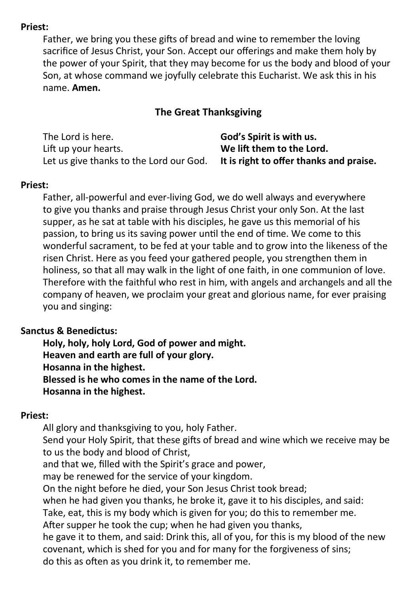#### **Priest:**

Father, we bring you these gifts of bread and wine to remember the loving sacrifice of Jesus Christ, your Son. Accept our offerings and make them holy by the power of your Spirit, that they may become for us the body and blood of your Son, at whose command we joyfully celebrate this Eucharist. We ask this in his name. **Amen.**

# **The Great Thanksgiving**

| The Lord is here.                       | God's Spirit is with us.                |
|-----------------------------------------|-----------------------------------------|
| Lift up your hearts.                    | We lift them to the Lord.               |
| Let us give thanks to the Lord our God. | It is right to offer thanks and praise. |

### **Priest:**

Father, all-powerful and ever-living God, we do well always and everywhere to give you thanks and praise through Jesus Christ your only Son. At the last supper, as he sat at table with his disciples, he gave us this memorial of his passion, to bring us its saving power until the end of time. We come to this wonderful sacrament, to be fed at your table and to grow into the likeness of the risen Christ. Here as you feed your gathered people, you strengthen them in holiness, so that all may walk in the light of one faith, in one communion of love. Therefore with the faithful who rest in him, with angels and archangels and all the company of heaven, we proclaim your great and glorious name, for ever praising you and singing:

### **Sanctus & Benedictus:**

**Holy, holy, holy Lord, God of power and might. Heaven and earth are full of your glory. Hosanna in the highest. Blessed is he who comes in the name of the Lord. Hosanna in the highest.**

### **Priest:**

All glory and thanksgiving to you, holy Father. Send your Holy Spirit, that these gifts of bread and wine which we receive may be to us the body and blood of Christ, and that we, filled with the Spirit's grace and power, may be renewed for the service of your kingdom. On the night before he died, your Son Jesus Christ took bread; when he had given you thanks, he broke it, gave it to his disciples, and said: Take, eat, this is my body which is given for you; do this to remember me. After supper he took the cup; when he had given you thanks, he gave it to them, and said: Drink this, all of you, for this is my blood of the new covenant, which is shed for you and for many for the forgiveness of sins; do this as often as you drink it, to remember me.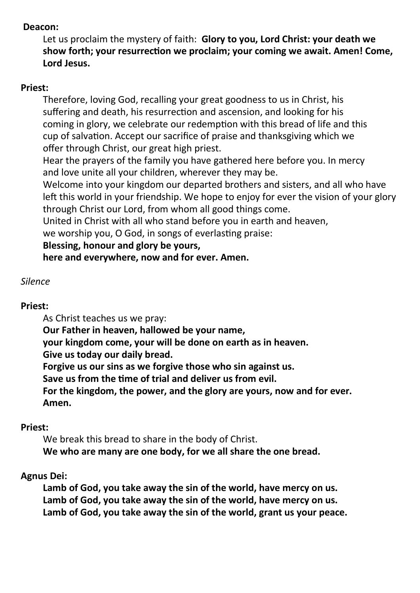### **Deacon:**

Let us proclaim the mystery of faith: **Glory to you, Lord Christ: your death we show forth; your resurrection we proclaim; your coming we await. Amen! Come, Lord Jesus.**

#### **Priest:**

Therefore, loving God, recalling your great goodness to us in Christ, his suffering and death, his resurrection and ascension, and looking for his coming in glory, we celebrate our redemption with this bread of life and this cup of salvation. Accept our sacrifice of praise and thanksgiving which we offer through Christ, our great high priest.

Hear the prayers of the family you have gathered here before you. In mercy and love unite all your children, wherever they may be.

Welcome into your kingdom our departed brothers and sisters, and all who have left this world in your friendship. We hope to enjoy for ever the vision of your glory through Christ our Lord, from whom all good things come.

United in Christ with all who stand before you in earth and heaven,

we worship you, O God, in songs of everlasting praise:

### **Blessing, honour and glory be yours,**

**here and everywhere, now and for ever. Amen.**

### *Silence*

### **Priest:**

As Christ teaches us we pray:

**Our Father in heaven, hallowed be your name,**

**your kingdom come, your will be done on earth as in heaven.**

**Give us today our daily bread.**

**Forgive us our sins as we forgive those who sin against us.**

**Save us from the time of trial and deliver us from evil.**

**For the kingdom, the power, and the glory are yours, now and for ever. Amen.**

### **Priest:**

We break this bread to share in the body of Christ. **We who are many are one body, for we all share the one bread.**

### **Agnus Dei:**

**Lamb of God, you take away the sin of the world, have mercy on us. Lamb of God, you take away the sin of the world, have mercy on us. Lamb of God, you take away the sin of the world, grant us your peace.**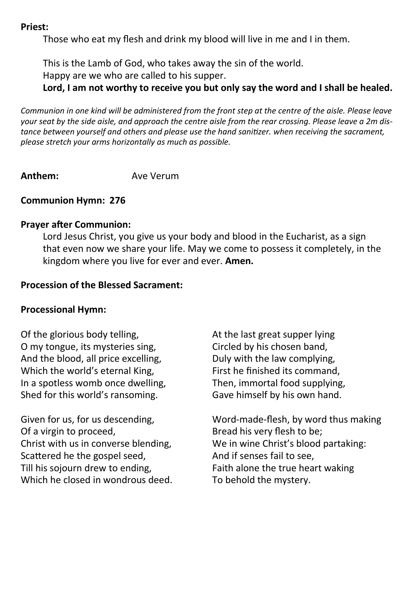#### **Priest:**

Those who eat my flesh and drink my blood will live in me and I in them.

This is the Lamb of God, who takes away the sin of the world.

Happy are we who are called to his supper.

**Lord, I am not worthy to receive you but only say the word and I shall be healed.**

*Communion in one kind will be administered from the front step at the centre of the aisle. Please leave your seat by the side aisle, and approach the centre aisle from the rear crossing. Please leave a 2m distance between yourself and others and please use the hand sanitizer. when receiving the sacrament, please stretch your arms horizontally as much as possible.*

**Anthem:** Ave Verum

# **Communion Hymn: 276**

#### **Prayer after Communion:**

Lord Jesus Christ, you give us your body and blood in the Eucharist, as a sign that even now we share your life. May we come to possess it completely, in the kingdom where you live for ever and ever. **Amen.**

### **Procession of the Blessed Sacrament:**

### **Processional Hymn:**

Of the glorious body telling, O my tongue, its mysteries sing, And the blood, all price excelling, Which the world's eternal King, In a spotless womb once dwelling, Shed for this world's ransoming.

Given for us, for us descending, Of a virgin to proceed, Christ with us in converse blending, Scattered he the gospel seed, Till his sojourn drew to ending, Which he closed in wondrous deed. At the last great supper lying Circled by his chosen band, Duly with the law complying, First he finished its command, Then, immortal food supplying, Gave himself by his own hand.

Word-made-flesh, by word thus making Bread his very flesh to be; We in wine Christ's blood partaking: And if senses fail to see, Faith alone the true heart waking To behold the mystery.